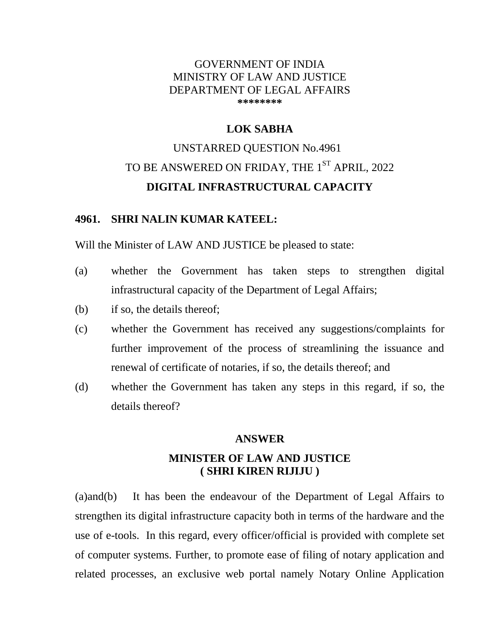## GOVERNMENT OF INDIA MINISTRY OF LAW AND JUSTICE DEPARTMENT OF LEGAL AFFAIRS **\*\*\*\*\*\*\*\***

## **LOK SABHA**

# UNSTARRED QUESTION No.4961 TO BE ANSWERED ON FRIDAY, THE  $1^\mathrm{ST}$  APRIL, 2022 **DIGITAL INFRASTRUCTURAL CAPACITY**

#### **4961. SHRI NALIN KUMAR KATEEL:**

Will the Minister of LAW AND JUSTICE be pleased to state:

- (a) whether the Government has taken steps to strengthen digital infrastructural capacity of the Department of Legal Affairs;
- (b) if so, the details thereof;
- (c) whether the Government has received any suggestions/complaints for further improvement of the process of streamlining the issuance and renewal of certificate of notaries, if so, the details thereof; and
- (d) whether the Government has taken any steps in this regard, if so, the details thereof?

## **ANSWER**

## **MINISTER OF LAW AND JUSTICE ( SHRI KIREN RIJIJU )**

(a)and(b) It has been the endeavour of the Department of Legal Affairs to strengthen its digital infrastructure capacity both in terms of the hardware and the use of e-tools. In this regard, every officer/official is provided with complete set of computer systems. Further, to promote ease of filing of notary application and related processes, an exclusive web portal namely Notary Online Application